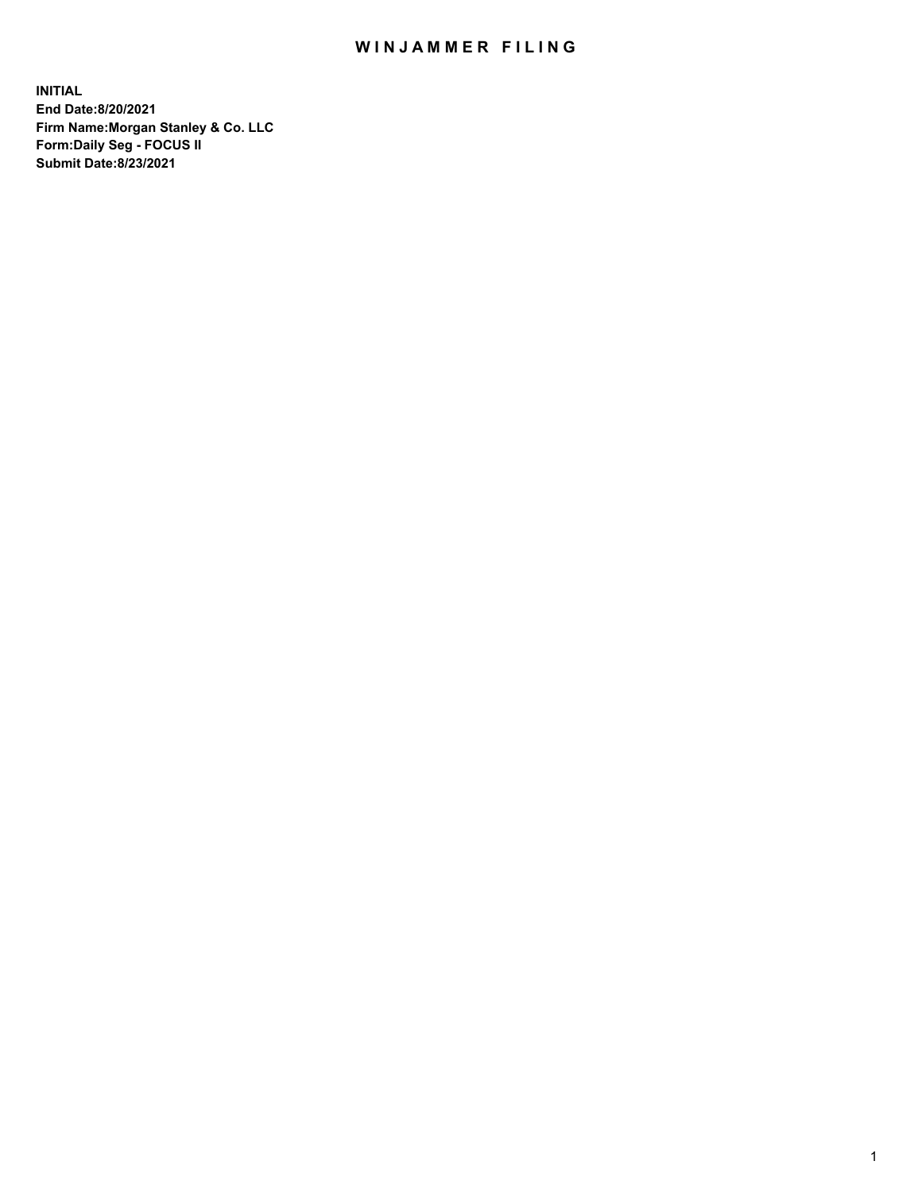## WIN JAMMER FILING

**INITIAL End Date:8/20/2021 Firm Name:Morgan Stanley & Co. LLC Form:Daily Seg - FOCUS II Submit Date:8/23/2021**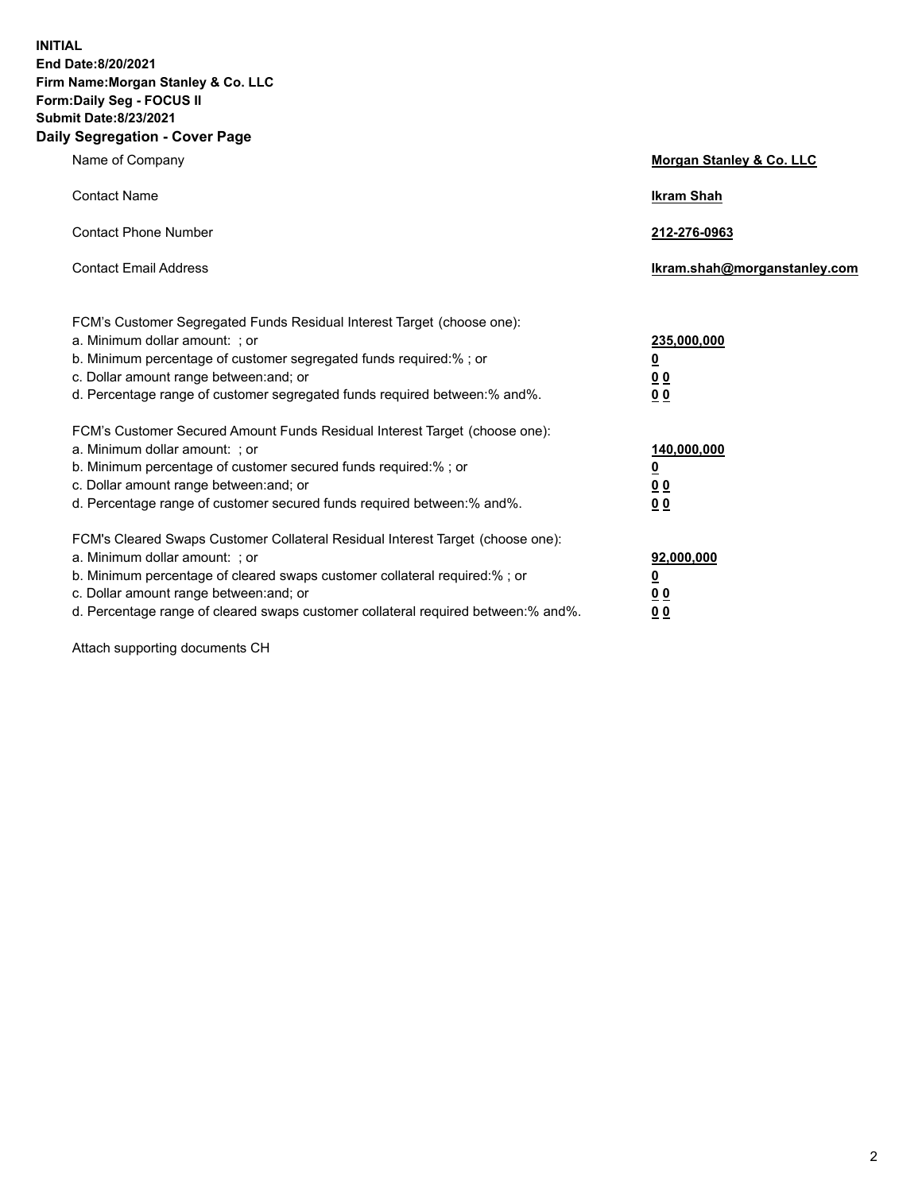**INITIAL End Date:8/20/2021 Firm Name:Morgan Stanley & Co. LLC Form:Daily Seg - FOCUS II Submit Date:8/23/2021 Daily Segregation - Cover Page**

| Name of Company                                                                                                                                                                                                                                                                                                                | Morgan Stanley & Co. LLC                               |
|--------------------------------------------------------------------------------------------------------------------------------------------------------------------------------------------------------------------------------------------------------------------------------------------------------------------------------|--------------------------------------------------------|
| <b>Contact Name</b>                                                                                                                                                                                                                                                                                                            | <b>Ikram Shah</b>                                      |
| <b>Contact Phone Number</b>                                                                                                                                                                                                                                                                                                    | 212-276-0963                                           |
| <b>Contact Email Address</b>                                                                                                                                                                                                                                                                                                   | Ikram.shah@morganstanley.com                           |
| FCM's Customer Segregated Funds Residual Interest Target (choose one):<br>a. Minimum dollar amount: ; or<br>b. Minimum percentage of customer segregated funds required:% ; or<br>c. Dollar amount range between: and; or<br>d. Percentage range of customer segregated funds required between: % and %.                       | 235,000,000<br><u>0</u><br>00<br>0 <sub>0</sub>        |
| FCM's Customer Secured Amount Funds Residual Interest Target (choose one):<br>a. Minimum dollar amount: ; or<br>b. Minimum percentage of customer secured funds required:%; or<br>c. Dollar amount range between: and; or<br>d. Percentage range of customer secured funds required between:% and%.                            | 140,000,000<br><u>0</u><br><u>00</u><br>0 <sub>0</sub> |
| FCM's Cleared Swaps Customer Collateral Residual Interest Target (choose one):<br>a. Minimum dollar amount: ; or<br>b. Minimum percentage of cleared swaps customer collateral required:% ; or<br>c. Dollar amount range between: and; or<br>d. Percentage range of cleared swaps customer collateral required between:% and%. | 92,000,000<br><u>0</u><br><u>00</u><br>0 <sub>0</sub>  |

Attach supporting documents CH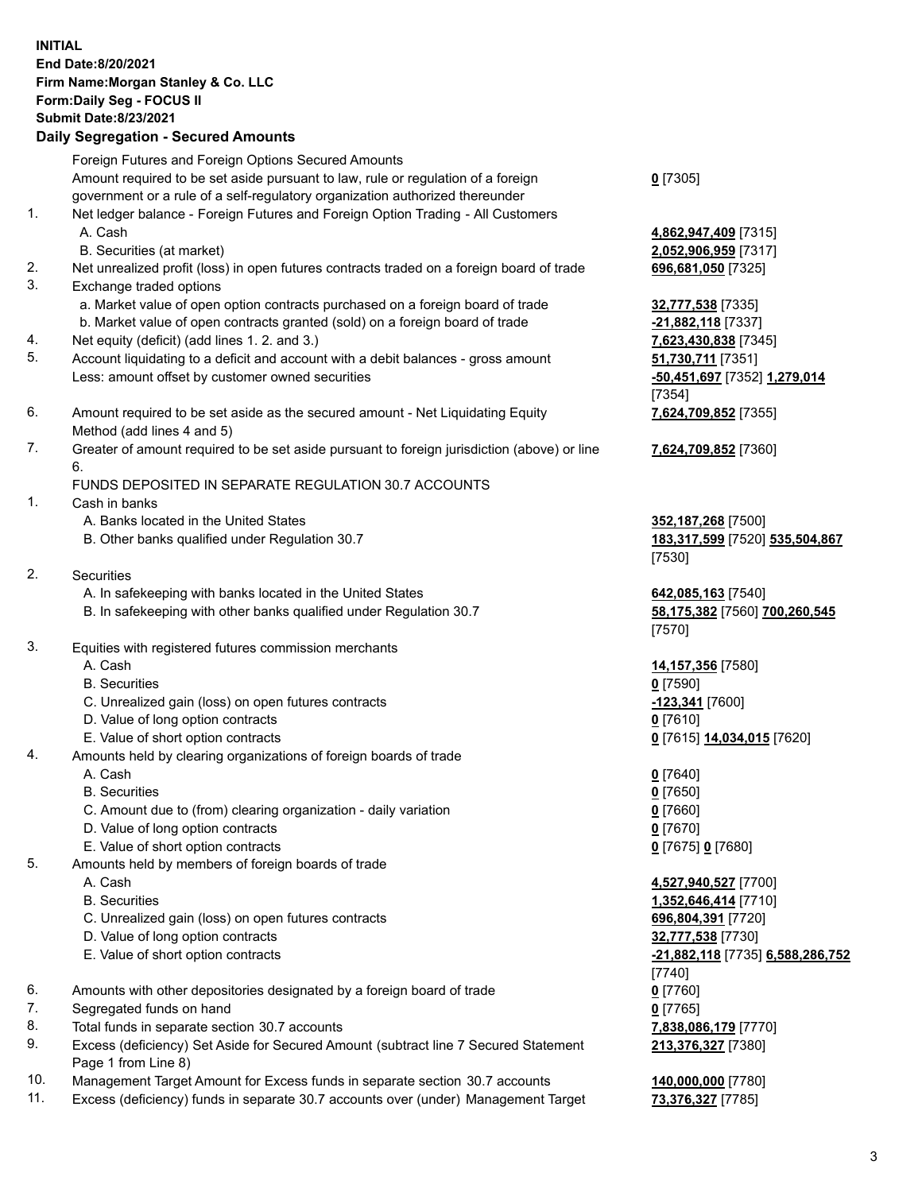## **INITIAL End Date:8/20/2021 Firm Name:Morgan Stanley & Co. LLC Form:Daily Seg - FOCUS II Submit Date:8/23/2021**

**Daily Segregation - Secured Amounts** Foreign Futures and Foreign Options Secured Amounts Amount required to be set aside pursuant to law, rule or regulation of a foreign government or a rule of a self-regulatory organization authorized thereunder 1. Net ledger balance - Foreign Futures and Foreign Option Trading - All Customers A. Cash **4,862,947,409** [7315] B. Securities (at market) **2,052,906,959** [7317] 2. Net unrealized profit (loss) in open futures contracts traded on a foreign board of trade **696,681,050** [7325] 3. Exchange traded options a. Market value of open option contracts purchased on a foreign board of trade **32,777,538** [7335] b. Market value of open contracts granted (sold) on a foreign board of trade **-21,882,118** [7337] 4. Net equity (deficit) (add lines 1. 2. and 3.) **7,623,430,838** [7345] 5. Account liquidating to a deficit and account with a debit balances - gross amount **51,730,711** [7351] Less: amount offset by customer owned securities **-50,451,697** [7352] **1,279,014** 6. Amount required to be set aside as the secured amount - Net Liquidating Equity Method (add lines 4 and 5) 7. Greater of amount required to be set aside pursuant to foreign jurisdiction (above) or line 6. FUNDS DEPOSITED IN SEPARATE REGULATION 30.7 ACCOUNTS 1. Cash in banks A. Banks located in the United States **352,187,268** [7500] B. Other banks qualified under Regulation 30.7 **183,317,599** [7520] **535,504,867** 2. Securities A. In safekeeping with banks located in the United States **642,085,163** [7540] B. In safekeeping with other banks qualified under Regulation 30.7 **58,175,382** [7560] **700,260,545** 3. Equities with registered futures commission merchants A. Cash **14,157,356** [7580] B. Securities **0** [7590] C. Unrealized gain (loss) on open futures contracts **-123,341** [7600] D. Value of long option contracts **0** [7610] E. Value of short option contracts **0** [7615] **14,034,015** [7620] 4. Amounts held by clearing organizations of foreign boards of trade A. Cash **0** [7640] B. Securities **0** [7650] C. Amount due to (from) clearing organization - daily variation **0** [7660]

- D. Value of long option contracts **0** [7670]
- E. Value of short option contracts **0** [7675] **0** [7680]
- 5. Amounts held by members of foreign boards of trade
	-
	-
	- C. Unrealized gain (loss) on open futures contracts **696,804,391** [7720]
	- D. Value of long option contracts **32,777,538** [7730]
	- E. Value of short option contracts **-21,882,118** [7735] **6,588,286,752**
- 6. Amounts with other depositories designated by a foreign board of trade **0** [7760]
- 7. Segregated funds on hand **0** [7765]
- 8. Total funds in separate section 30.7 accounts **7,838,086,179** [7770]
- 9. Excess (deficiency) Set Aside for Secured Amount (subtract line 7 Secured Statement Page 1 from Line 8)
- 10. Management Target Amount for Excess funds in separate section 30.7 accounts **140,000,000** [7780]
- 11. Excess (deficiency) funds in separate 30.7 accounts over (under) Management Target **73,376,327** [7785]

**0** [7305]

[7354] **7,624,709,852** [7355]

**7,624,709,852** [7360]

[7530]

[7570]

 A. Cash **4,527,940,527** [7700] B. Securities **1,352,646,414** [7710] [7740] **213,376,327** [7380]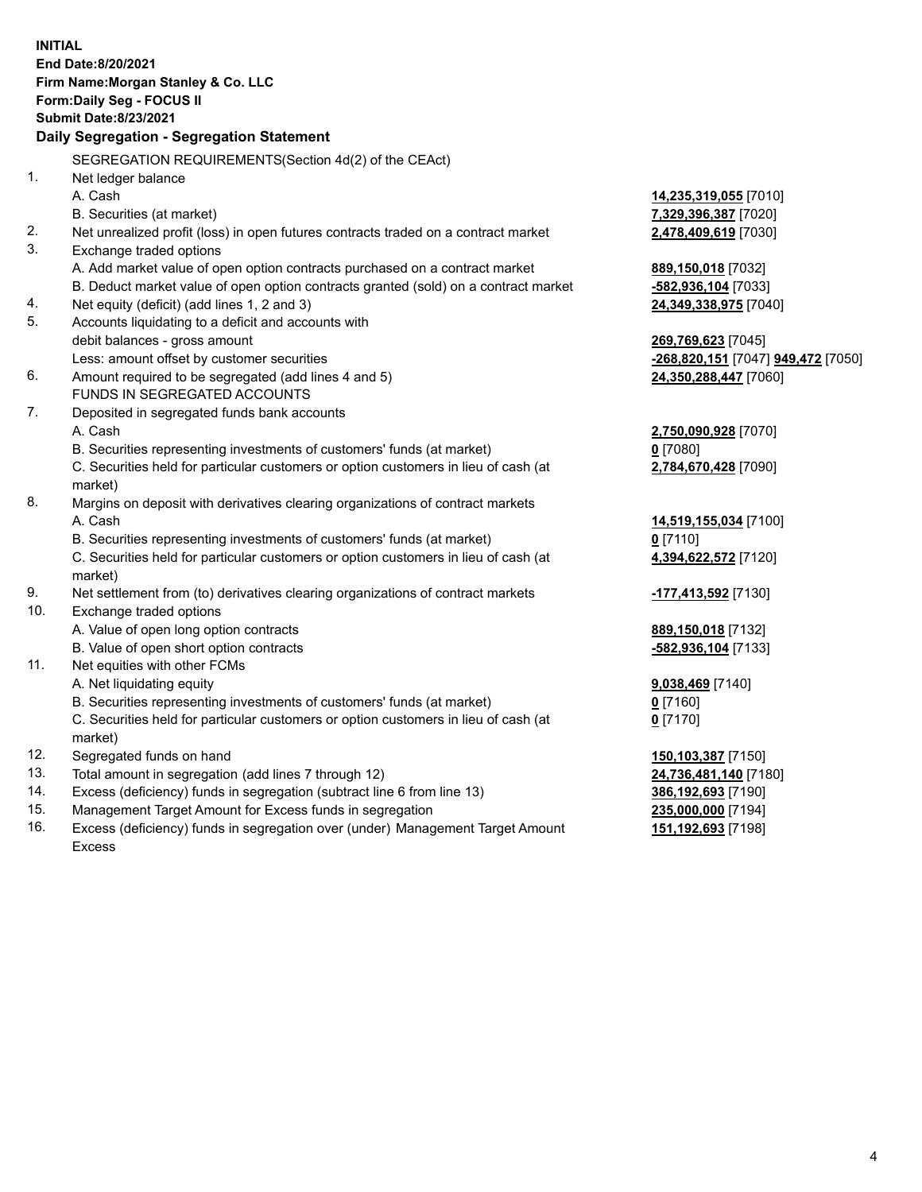**INITIAL End Date:8/20/2021 Firm Name:Morgan Stanley & Co. LLC Form:Daily Seg - FOCUS II Submit Date:8/23/2021 Daily Segregation - Segregation Statement** SEGREGATION REQUIREMENTS(Section 4d(2) of the CEAct) 1. Net ledger balance A. Cash **14,235,319,055** [7010] B. Securities (at market) **7,329,396,387** [7020] 2. Net unrealized profit (loss) in open futures contracts traded on a contract market **2,478,409,619** [7030] 3. Exchange traded options A. Add market value of open option contracts purchased on a contract market **889,150,018** [7032] B. Deduct market value of open option contracts granted (sold) on a contract market **-582,936,104** [7033] 4. Net equity (deficit) (add lines 1, 2 and 3) **24,349,338,975** [7040] 5. Accounts liquidating to a deficit and accounts with debit balances - gross amount **269,769,623** [7045] Less: amount offset by customer securities **-268,820,151** [7047] **949,472** [7050] 6. Amount required to be segregated (add lines 4 and 5) **24,350,288,447** [7060] FUNDS IN SEGREGATED ACCOUNTS 7. Deposited in segregated funds bank accounts A. Cash **2,750,090,928** [7070] B. Securities representing investments of customers' funds (at market) **0** [7080] C. Securities held for particular customers or option customers in lieu of cash (at market) **2,784,670,428** [7090] 8. Margins on deposit with derivatives clearing organizations of contract markets A. Cash **14,519,155,034** [7100] B. Securities representing investments of customers' funds (at market) **0** [7110] C. Securities held for particular customers or option customers in lieu of cash (at market) **4,394,622,572** [7120] 9. Net settlement from (to) derivatives clearing organizations of contract markets **-177,413,592** [7130] 10. Exchange traded options A. Value of open long option contracts **889,150,018** [7132] B. Value of open short option contracts **-582,936,104** [7133] 11. Net equities with other FCMs A. Net liquidating equity **9,038,469** [7140] B. Securities representing investments of customers' funds (at market) **0** [7160] C. Securities held for particular customers or option customers in lieu of cash (at market) **0** [7170] 12. Segregated funds on hand **150,103,387** [7150] 13. Total amount in segregation (add lines 7 through 12) **24,736,481,140** [7180] 14. Excess (deficiency) funds in segregation (subtract line 6 from line 13) **386,192,693** [7190] 15. Management Target Amount for Excess funds in segregation **235,000,000** [7194]

16. Excess (deficiency) funds in segregation over (under) Management Target Amount Excess

**151,192,693** [7198]